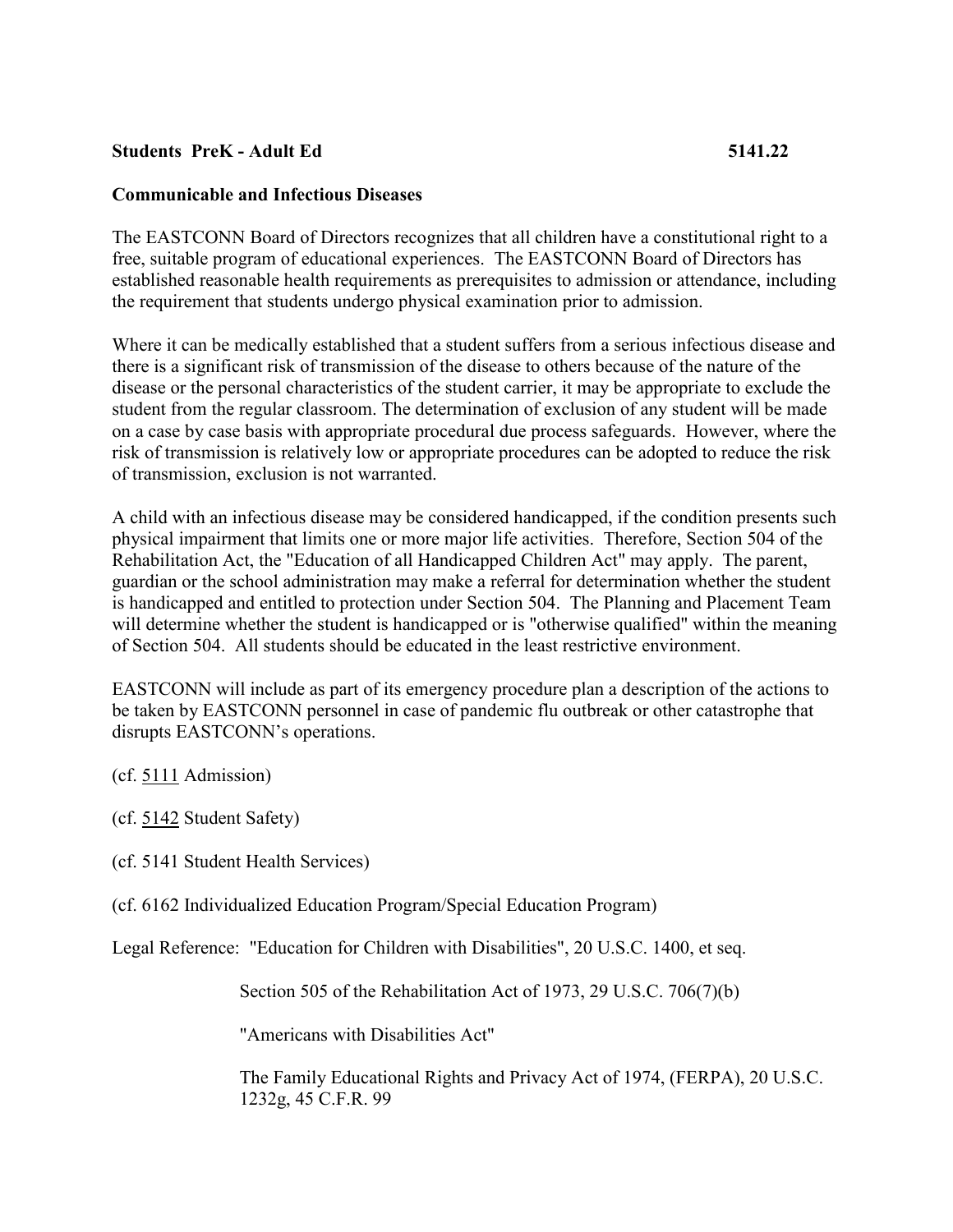## **Students PreK - Adult Ed 5141.22**

## **Communicable and Infectious Diseases**

The EASTCONN Board of Directors recognizes that all children have a constitutional right to a free, suitable program of educational experiences. The EASTCONN Board of Directors has established reasonable health requirements as prerequisites to admission or attendance, including the requirement that students undergo physical examination prior to admission.

Where it can be medically established that a student suffers from a serious infectious disease and there is a significant risk of transmission of the disease to others because of the nature of the disease or the personal characteristics of the student carrier, it may be appropriate to exclude the student from the regular classroom. The determination of exclusion of any student will be made on a case by case basis with appropriate procedural due process safeguards. However, where the risk of transmission is relatively low or appropriate procedures can be adopted to reduce the risk of transmission, exclusion is not warranted.

A child with an infectious disease may be considered handicapped, if the condition presents such physical impairment that limits one or more major life activities. Therefore, Section 504 of the Rehabilitation Act, the "Education of all Handicapped Children Act" may apply. The parent, guardian or the school administration may make a referral for determination whether the student is handicapped and entitled to protection under Section 504. The Planning and Placement Team will determine whether the student is handicapped or is "otherwise qualified" within the meaning of Section 504. All students should be educated in the least restrictive environment.

EASTCONN will include as part of its emergency procedure plan a description of the actions to be taken by EASTCONN personnel in case of pandemic flu outbreak or other catastrophe that disrupts EASTCONN's operations.

(cf. [5111](http://z2policy.cabe.org/cabe/DocViewer.jsp?docid=228&z2collection=core#JD_5111) Admission)

(cf. [5142](http://z2policy.cabe.org/cabe/DocViewer.jsp?docid=307&z2collection=core#JD_5142) Student Safety)

(cf. 5141 Student Health Services)

(cf. 6162 Individualized Education Program/Special Education Program)

Legal Reference: "Education for Children with Disabilities", 20 U.S.C. 1400, et seq.

Section 505 of the Rehabilitation Act of 1973, 29 U.S.C. 706(7)(b)

"Americans with Disabilities Act"

The Family Educational Rights and Privacy Act of 1974, (FERPA), 20 U.S.C. 1232g, 45 C.F.R. 99